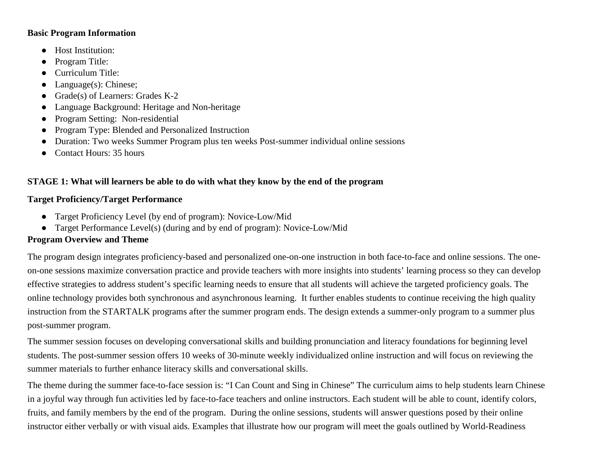#### **Basic Program Information**

- Host Institution:
- Program Title:
- Curriculum Title:
- Language(s): Chinese;
- Grade(s) of Learners: Grades K-2
- Language Background: Heritage and Non-heritage
- Program Setting: Non-residential
- Program Type: Blended and Personalized Instruction
- Duration: Two weeks Summer Program plus ten weeks Post-summer individual online sessions
- Contact Hours: 35 hours

## **STAGE 1: What will learners be able to do with what they know by the end of the program**

### **Target Proficiency/Target Performance**

- Target Proficiency Level (by end of program): Novice-Low/Mid
- Target Performance Level(s) (during and by end of program): Novice-Low/Mid

## **Program Overview and Theme**

The program design integrates proficiency-based and personalized one-on-one instruction in both face-to-face and online sessions. The oneon-one sessions maximize conversation practice and provide teachers with more insights into students' learning process so they can develop effective strategies to address student's specific learning needs to ensure that all students will achieve the targeted proficiency goals. The online technology provides both synchronous and asynchronous learning. It further enables students to continue receiving the high quality instruction from the STARTALK programs after the summer program ends. The design extends a summer-only program to a summer plus post-summer program.

The summer session focuses on developing conversational skills and building pronunciation and literacy foundations for beginning level students. The post-summer session offers 10 weeks of 30-minute weekly individualized online instruction and will focus on reviewing the summer materials to further enhance literacy skills and conversational skills.

The theme during the summer face-to-face session is: "I Can Count and Sing in Chinese" The curriculum aims to help students learn Chinese in a joyful way through fun activities led by face-to-face teachers and online instructors. Each student will be able to count, identify colors, fruits, and family members by the end of the program. During the online sessions, students will answer questions posed by their online instructor either verbally or with visual aids. Examples that illustrate how our program will meet the goals outlined by World-Readiness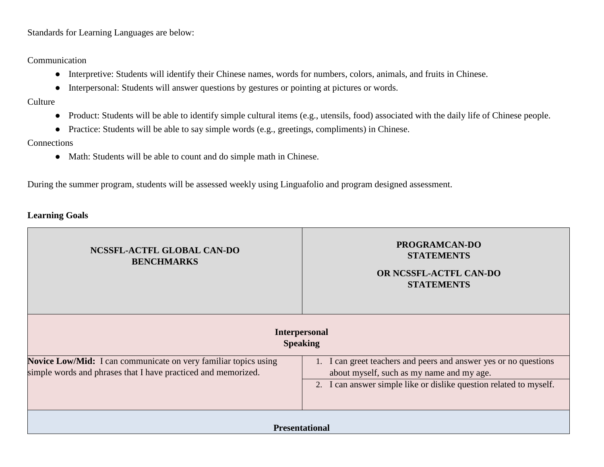Standards for Learning Languages are below:

# Communication

- Interpretive: Students will identify their Chinese names, words for numbers, colors, animals, and fruits in Chinese.
- Interpersonal: Students will answer questions by gestures or pointing at pictures or words.
- **Culture** 
	- Product: Students will be able to identify simple cultural items (e.g., utensils, food) associated with the daily life of Chinese people.
	- Practice: Students will be able to say simple words (e.g., greetings, compliments) in Chinese.

#### **Connections**

● Math: Students will be able to count and do simple math in Chinese.

During the summer program, students will be assessed weekly using Linguafolio and program designed assessment.

#### **Learning Goals**

| NCSSFL-ACTFL GLOBAL CAN-DO<br><b>BENCHMARKS</b>                                                                                                                                                                                                                                                                                | <b>PROGRAMCAN-DO</b><br><b>STATEMENTS</b><br>OR NCSSFL-ACTFL CAN-DO<br><b>STATEMENTS</b> |
|--------------------------------------------------------------------------------------------------------------------------------------------------------------------------------------------------------------------------------------------------------------------------------------------------------------------------------|------------------------------------------------------------------------------------------|
|                                                                                                                                                                                                                                                                                                                                | <b>Interpersonal</b><br><b>Speaking</b>                                                  |
| <b>Novice Low/Mid:</b> I can communicate on very familiar topics using<br>1. I can greet teachers and peers and answer yes or no questions<br>simple words and phrases that I have practiced and memorized.<br>about myself, such as my name and my age.<br>2. I can answer simple like or dislike question related to myself. |                                                                                          |
|                                                                                                                                                                                                                                                                                                                                | <b>Presentational</b>                                                                    |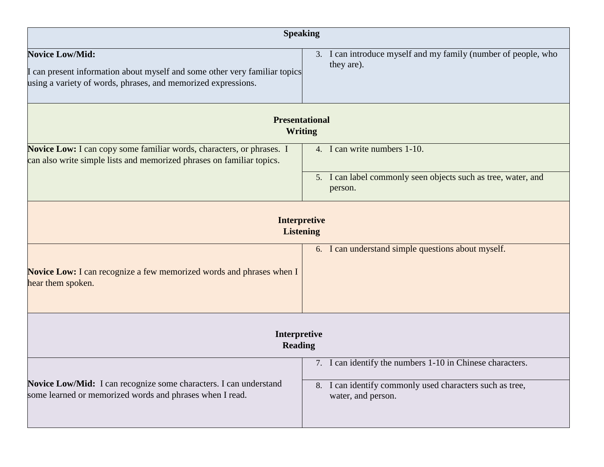| <b>Speaking</b>                                                                                                                                                       |                                                                                |  |  |
|-----------------------------------------------------------------------------------------------------------------------------------------------------------------------|--------------------------------------------------------------------------------|--|--|
| <b>Novice Low/Mid:</b><br>I can present information about myself and some other very familiar topics<br>using a variety of words, phrases, and memorized expressions. | 3. I can introduce myself and my family (number of people, who<br>they are).   |  |  |
|                                                                                                                                                                       | <b>Presentational</b><br><b>Writing</b>                                        |  |  |
| Novice Low: I can copy some familiar words, characters, or phrases. I<br>can also write simple lists and memorized phrases on familiar topics.                        | 4. I can write numbers 1-10.                                                   |  |  |
|                                                                                                                                                                       | 5. I can label commonly seen objects such as tree, water, and<br>person.       |  |  |
|                                                                                                                                                                       | <b>Interpretive</b><br><b>Listening</b>                                        |  |  |
| <b>Novice Low:</b> I can recognize a few memorized words and phrases when I<br>hear them spoken.                                                                      | 6. I can understand simple questions about myself.                             |  |  |
| Interpretive<br><b>Reading</b>                                                                                                                                        |                                                                                |  |  |
|                                                                                                                                                                       | 7. I can identify the numbers 1-10 in Chinese characters.                      |  |  |
| Novice Low/Mid: I can recognize some characters. I can understand<br>some learned or memorized words and phrases when I read.                                         | 8. I can identify commonly used characters such as tree,<br>water, and person. |  |  |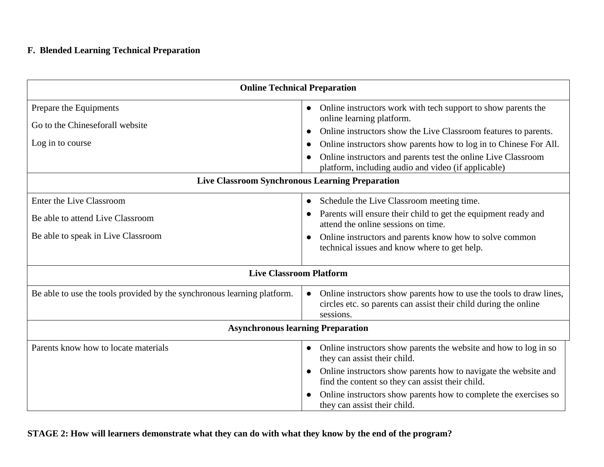# **F. Blended Learning Technical Preparation**

| <b>Online Technical Preparation</b>                                                                |                                                                                                                                                                                                                                                                                                                                                                         |  |
|----------------------------------------------------------------------------------------------------|-------------------------------------------------------------------------------------------------------------------------------------------------------------------------------------------------------------------------------------------------------------------------------------------------------------------------------------------------------------------------|--|
| Prepare the Equipments<br>Go to the Chineseforall website<br>Log in to course                      | Online instructors work with tech support to show parents the<br>$\bullet$<br>online learning platform.<br>Online instructors show the Live Classroom features to parents.<br>Online instructors show parents how to log in to Chinese For All.<br>Online instructors and parents test the online Live Classroom<br>platform, including audio and video (if applicable) |  |
| <b>Live Classroom Synchronous Learning Preparation</b>                                             |                                                                                                                                                                                                                                                                                                                                                                         |  |
| Enter the Live Classroom<br>Be able to attend Live Classroom<br>Be able to speak in Live Classroom | Schedule the Live Classroom meeting time.<br>$\bullet$<br>Parents will ensure their child to get the equipment ready and<br>attend the online sessions on time.<br>Online instructors and parents know how to solve common<br>technical issues and know where to get help.                                                                                              |  |
| <b>Live Classroom Platform</b>                                                                     |                                                                                                                                                                                                                                                                                                                                                                         |  |
| Be able to use the tools provided by the synchronous learning platform.                            | Online instructors show parents how to use the tools to draw lines,<br>circles etc. so parents can assist their child during the online<br>sessions.                                                                                                                                                                                                                    |  |
| <b>Asynchronous learning Preparation</b>                                                           |                                                                                                                                                                                                                                                                                                                                                                         |  |
| Parents know how to locate materials                                                               | Online instructors show parents the website and how to log in so<br>they can assist their child.<br>Online instructors show parents how to navigate the website and<br>find the content so they can assist their child.<br>Online instructors show parents how to complete the exercises so<br>they can assist their child.                                             |  |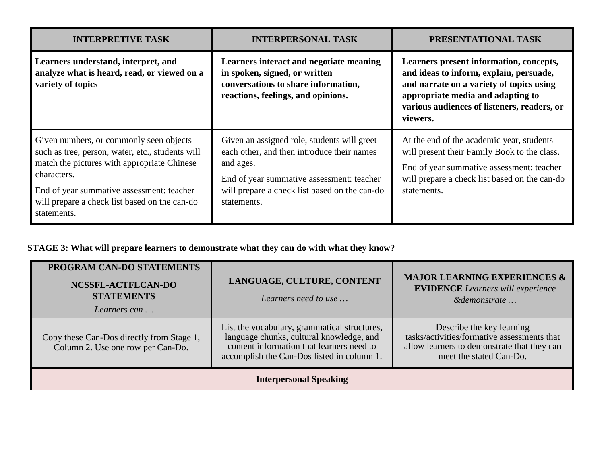| <b>INTERPRETIVE TASK</b>                                                                                                                                                                                                                                               | <b>INTERPERSONAL TASK</b>                                                                                                                                                                                           | PRESENTATIONAL TASK                                                                                                                                                                                                            |
|------------------------------------------------------------------------------------------------------------------------------------------------------------------------------------------------------------------------------------------------------------------------|---------------------------------------------------------------------------------------------------------------------------------------------------------------------------------------------------------------------|--------------------------------------------------------------------------------------------------------------------------------------------------------------------------------------------------------------------------------|
| Learners understand, interpret, and<br>analyze what is heard, read, or viewed on a<br>variety of topics                                                                                                                                                                | Learners interact and negotiate meaning<br>in spoken, signed, or written<br>conversations to share information,<br>reactions, feelings, and opinions.                                                               | Learners present information, concepts,<br>and ideas to inform, explain, persuade,<br>and narrate on a variety of topics using<br>appropriate media and adapting to<br>various audiences of listeners, readers, or<br>viewers. |
| Given numbers, or commonly seen objects<br>such as tree, person, water, etc., students will<br>match the pictures with appropriate Chinese<br>characters.<br>End of year summative assessment: teacher<br>will prepare a check list based on the can-do<br>statements. | Given an assigned role, students will greet<br>each other, and then introduce their names<br>and ages.<br>End of year summative assessment: teacher<br>will prepare a check list based on the can-do<br>statements. | At the end of the academic year, students<br>will present their Family Book to the class.<br>End of year summative assessment: teacher<br>will prepare a check list based on the can-do<br>statements.                         |

# **STAGE 3: What will prepare learners to demonstrate what they can do with what they know?**

| PROGRAM CAN-DO STATEMENTS<br>NCSSFL-ACTFLCAN-DO<br><b>STATEMENTS</b><br>Learners can | LANGUAGE, CULTURE, CONTENT<br>Learners need to use                                                                                                                                  | <b>MAJOR LEARNING EXPERIENCES &amp;</b><br><b>EVIDENCE</b> Learners will experience<br>&demonstrate                                                |
|--------------------------------------------------------------------------------------|-------------------------------------------------------------------------------------------------------------------------------------------------------------------------------------|----------------------------------------------------------------------------------------------------------------------------------------------------|
| Copy these Can-Dos directly from Stage 1,<br>Column 2. Use one row per Can-Do.       | List the vocabulary, grammatical structures,<br>language chunks, cultural knowledge, and<br>content information that learners need to<br>accomplish the Can-Dos listed in column 1. | Describe the key learning<br>tasks/activities/formative assessments that<br>allow learners to demonstrate that they can<br>meet the stated Can-Do. |
|                                                                                      | <b>Interpersonal Speaking</b>                                                                                                                                                       |                                                                                                                                                    |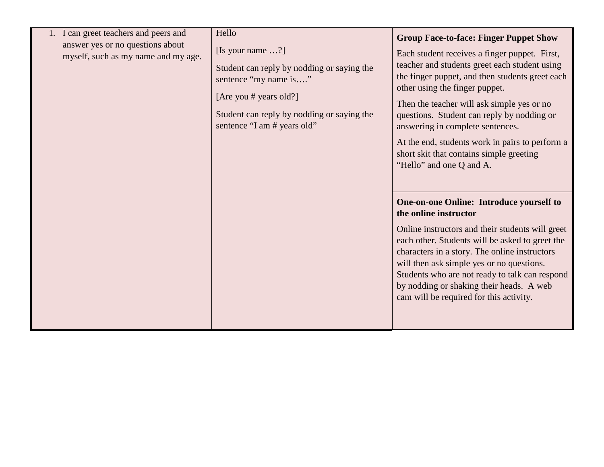| 1. I can greet teachers and peers and                                   | Hello                                                                                                                                                                                                   | <b>Group Face-to-face: Finger Puppet Show</b>                                                                                                                                                                                                                                                                                                                                                                                                  |
|-------------------------------------------------------------------------|---------------------------------------------------------------------------------------------------------------------------------------------------------------------------------------------------------|------------------------------------------------------------------------------------------------------------------------------------------------------------------------------------------------------------------------------------------------------------------------------------------------------------------------------------------------------------------------------------------------------------------------------------------------|
| answer yes or no questions about<br>myself, such as my name and my age. | [Is your name $\ldots$ ?]<br>Student can reply by nodding or saying the<br>sentence "my name is"<br>[Are you # years old?]<br>Student can reply by nodding or saying the<br>sentence "I am # years old" | Each student receives a finger puppet. First,<br>teacher and students greet each student using<br>the finger puppet, and then students greet each<br>other using the finger puppet.<br>Then the teacher will ask simple yes or no<br>questions. Student can reply by nodding or<br>answering in complete sentences.<br>At the end, students work in pairs to perform a<br>short skit that contains simple greeting<br>"Hello" and one Q and A. |
|                                                                         |                                                                                                                                                                                                         | One-on-one Online: Introduce yourself to<br>the online instructor<br>Online instructors and their students will greet<br>each other. Students will be asked to greet the<br>characters in a story. The online instructors<br>will then ask simple yes or no questions.<br>Students who are not ready to talk can respond<br>by nodding or shaking their heads. A web<br>cam will be required for this activity.                                |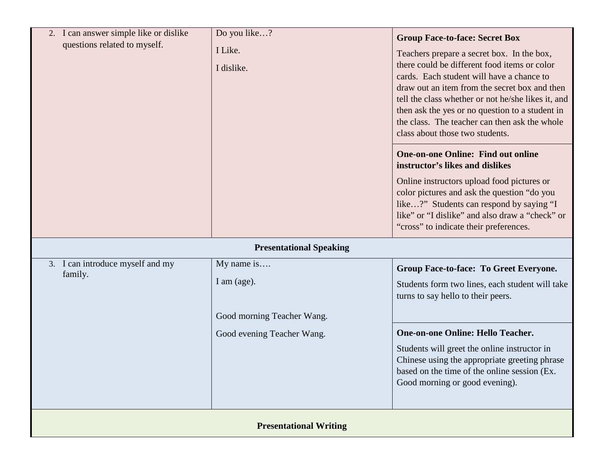| 2. I can answer simple like or dislike<br>questions related to myself. | Do you like?<br>I Like.<br>I dislike.                   | <b>Group Face-to-face: Secret Box</b><br>Teachers prepare a secret box. In the box,<br>there could be different food items or color<br>cards. Each student will have a chance to<br>draw out an item from the secret box and then<br>tell the class whether or not he/she likes it, and<br>then ask the yes or no question to a student in<br>the class. The teacher can then ask the whole<br>class about those two students. |
|------------------------------------------------------------------------|---------------------------------------------------------|--------------------------------------------------------------------------------------------------------------------------------------------------------------------------------------------------------------------------------------------------------------------------------------------------------------------------------------------------------------------------------------------------------------------------------|
|                                                                        |                                                         | <b>One-on-one Online: Find out online</b><br>instructor's likes and dislikes<br>Online instructors upload food pictures or<br>color pictures and ask the question "do you<br>like?" Students can respond by saying "I<br>like" or "I dislike" and also draw a "check" or<br>"cross" to indicate their preferences.                                                                                                             |
|                                                                        | <b>Presentational Speaking</b>                          |                                                                                                                                                                                                                                                                                                                                                                                                                                |
| 3. I can introduce myself and my<br>family.                            | My name is<br>I am (age).<br>Good morning Teacher Wang. | Group Face-to-face: To Greet Everyone.<br>Students form two lines, each student will take<br>turns to say hello to their peers.                                                                                                                                                                                                                                                                                                |
|                                                                        | Good evening Teacher Wang.                              | <b>One-on-one Online: Hello Teacher.</b><br>Students will greet the online instructor in<br>Chinese using the appropriate greeting phrase<br>based on the time of the online session (Ex.<br>Good morning or good evening).                                                                                                                                                                                                    |
| <b>Presentational Writing</b>                                          |                                                         |                                                                                                                                                                                                                                                                                                                                                                                                                                |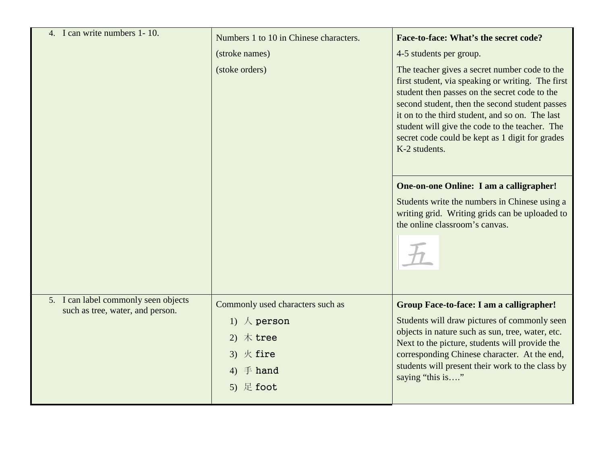| 4. I can write numbers 1-10.                                             | Numbers 1 to 10 in Chinese characters.<br>(stroke names)<br>(stoke orders)                                                     | Face-to-face: What's the secret code?<br>4-5 students per group.<br>The teacher gives a secret number code to the<br>first student, via speaking or writing. The first<br>student then passes on the secret code to the<br>second student, then the second student passes<br>it on to the third student, and so on. The last<br>student will give the code to the teacher. The<br>secret code could be kept as 1 digit for grades<br>K-2 students. |
|--------------------------------------------------------------------------|--------------------------------------------------------------------------------------------------------------------------------|----------------------------------------------------------------------------------------------------------------------------------------------------------------------------------------------------------------------------------------------------------------------------------------------------------------------------------------------------------------------------------------------------------------------------------------------------|
|                                                                          |                                                                                                                                | One-on-one Online: I am a calligrapher!<br>Students write the numbers in Chinese using a<br>writing grid. Writing grids can be uploaded to<br>the online classroom's canvas.                                                                                                                                                                                                                                                                       |
| 5. I can label commonly seen objects<br>such as tree, water, and person. | Commonly used characters such as<br>1) $\land$ person<br>木tree<br>3) $K$ fire<br>$\mathbf{\dot{+}}$ hand<br>4)<br>足 foot<br>5) | Group Face-to-face: I am a calligrapher!<br>Students will draw pictures of commonly seen<br>objects in nature such as sun, tree, water, etc.<br>Next to the picture, students will provide the<br>corresponding Chinese character. At the end,<br>students will present their work to the class by<br>saying "this is"                                                                                                                             |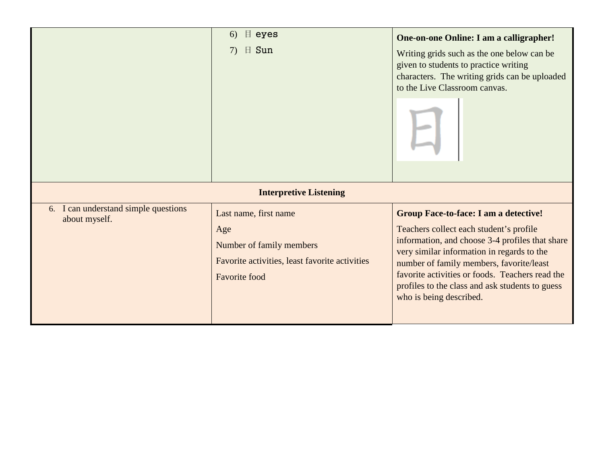|                                                       | $\parallel$ eyes<br>6)<br>$\boxplus$ Sun<br>7)                                                                                                                      | <b>One-on-one Online: I am a calligrapher!</b><br>Writing grids such as the one below can be<br>given to students to practice writing<br>characters. The writing grids can be uploaded<br>to the Live Classroom canvas.                                                                                                                                               |
|-------------------------------------------------------|---------------------------------------------------------------------------------------------------------------------------------------------------------------------|-----------------------------------------------------------------------------------------------------------------------------------------------------------------------------------------------------------------------------------------------------------------------------------------------------------------------------------------------------------------------|
| 6. I can understand simple questions<br>about myself. | <b>Interpretive Listening</b><br>Last name, first name<br>Age<br>Number of family members<br>Favorite activities, least favorite activities<br><b>Favorite</b> food | <b>Group Face-to-face: I am a detective!</b><br>Teachers collect each student's profile<br>information, and choose 3-4 profiles that share<br>very similar information in regards to the<br>number of family members, favorite/least<br>favorite activities or foods. Teachers read the<br>profiles to the class and ask students to guess<br>who is being described. |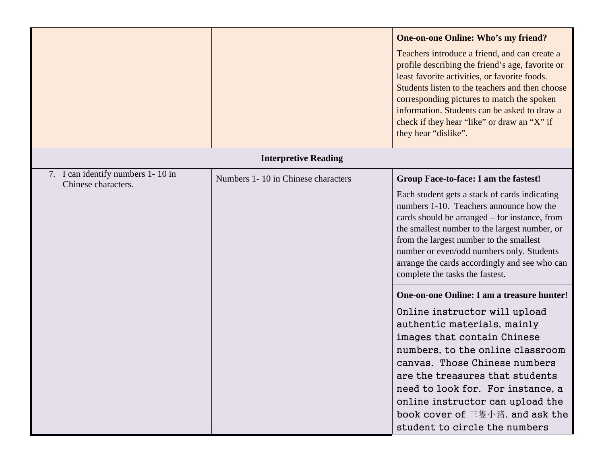|                                                          |                                    | <b>One-on-one Online: Who's my friend?</b><br>Teachers introduce a friend, and can create a<br>profile describing the friend's age, favorite or<br>least favorite activities, or favorite foods.<br>Students listen to the teachers and then choose<br>corresponding pictures to match the spoken<br>information. Students can be asked to draw a<br>check if they hear "like" or draw an "X" if<br>they hear "dislike". |
|----------------------------------------------------------|------------------------------------|--------------------------------------------------------------------------------------------------------------------------------------------------------------------------------------------------------------------------------------------------------------------------------------------------------------------------------------------------------------------------------------------------------------------------|
|                                                          | <b>Interpretive Reading</b>        |                                                                                                                                                                                                                                                                                                                                                                                                                          |
| 7. I can identify numbers 1-10 in<br>Chinese characters. | Numbers 1-10 in Chinese characters | Group Face-to-face: I am the fastest!<br>Each student gets a stack of cards indicating<br>numbers 1-10. Teachers announce how the<br>cards should be arranged – for instance, from<br>the smallest number to the largest number, or<br>from the largest number to the smallest<br>number or even/odd numbers only. Students<br>arrange the cards accordingly and see who can<br>complete the tasks the fastest.          |
|                                                          |                                    | One-on-one Online: I am a treasure hunter!<br>Online instructor will upload<br>authentic materials, mainly<br>images that contain Chinese<br>numbers, to the online classroom<br>canvas. Those Chinese numbers<br>are the treasures that students<br>need to look for. For instance, a<br>online instructor can upload the<br>book cover of 三隻小豬, and ask the<br>student to circle the numbers                           |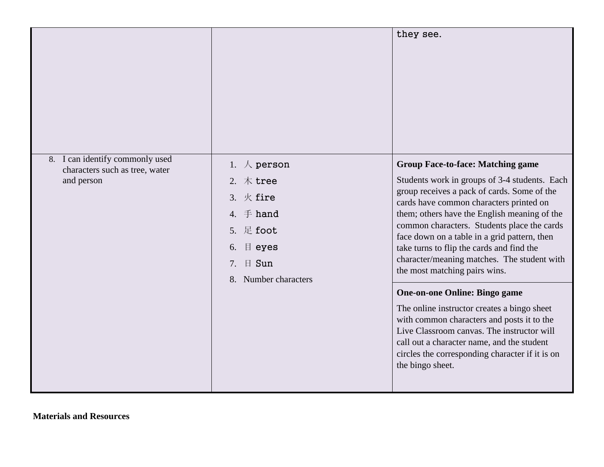|                                                                                 |                                                                                                                                                               | they see.                                                                                                                                                                                                                                                                                                                                                                                                                                                       |
|---------------------------------------------------------------------------------|---------------------------------------------------------------------------------------------------------------------------------------------------------------|-----------------------------------------------------------------------------------------------------------------------------------------------------------------------------------------------------------------------------------------------------------------------------------------------------------------------------------------------------------------------------------------------------------------------------------------------------------------|
| 8. I can identify commonly used<br>characters such as tree, water<br>and person | 1. $\land$ person<br>2. $#$ tree<br>3. $K$ fire<br>4. $\mp$ hand<br>足 foot<br>5 <sub>1</sub><br>$\parallel$ eyes<br>6.<br>日 Sun<br>7.<br>8. Number characters | <b>Group Face-to-face: Matching game</b><br>Students work in groups of 3-4 students. Each<br>group receives a pack of cards. Some of the<br>cards have common characters printed on<br>them; others have the English meaning of the<br>common characters. Students place the cards<br>face down on a table in a grid pattern, then<br>take turns to flip the cards and find the<br>character/meaning matches. The student with<br>the most matching pairs wins. |
|                                                                                 |                                                                                                                                                               | <b>One-on-one Online: Bingo game</b><br>The online instructor creates a bingo sheet<br>with common characters and posts it to the<br>Live Classroom canvas. The instructor will<br>call out a character name, and the student<br>circles the corresponding character if it is on<br>the bingo sheet.                                                                                                                                                            |